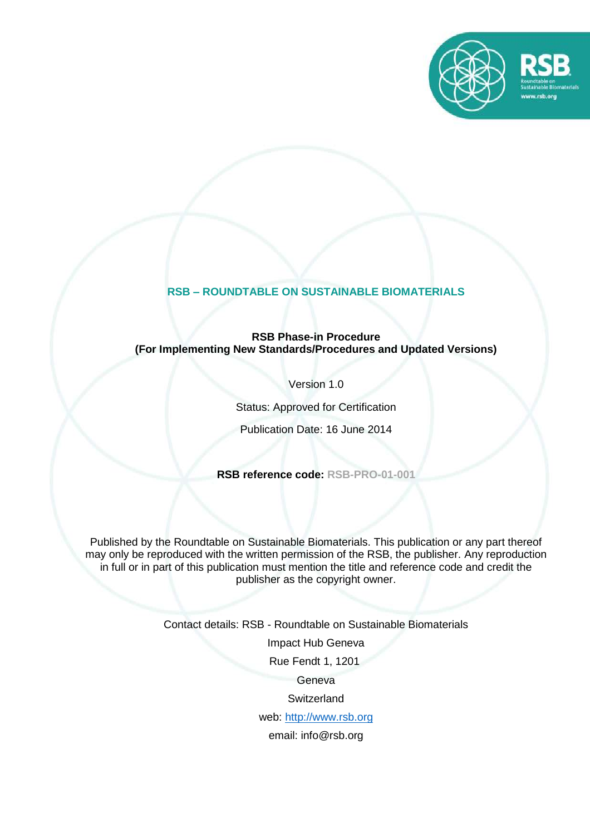

# **RSB – ROUNDTABLE ON SUSTAINABLE BIOMATERIALS**

### **RSB Phase-in Procedure (For Implementing New Standards/Procedures and Updated Versions)**

Version 1.0

Status: Approved for Certification

Publication Date: 16 June 2014

**RSB reference code: RSB-PRO-01-001**

Published by the Roundtable on Sustainable Biomaterials. This publication or any part thereof may only be reproduced with the written permission of the RSB, the publisher. Any reproduction in full or in part of this publication must mention the title and reference code and credit the publisher as the copyright owner.

Contact details: RSB - Roundtable on Sustainable Biomaterials

Impact Hub Geneva

Rue Fendt 1, 1201

Geneva

**Switzerland** 

web: [http://www.rsb.org](http://www.rsb.org/)

email: info@rsb.org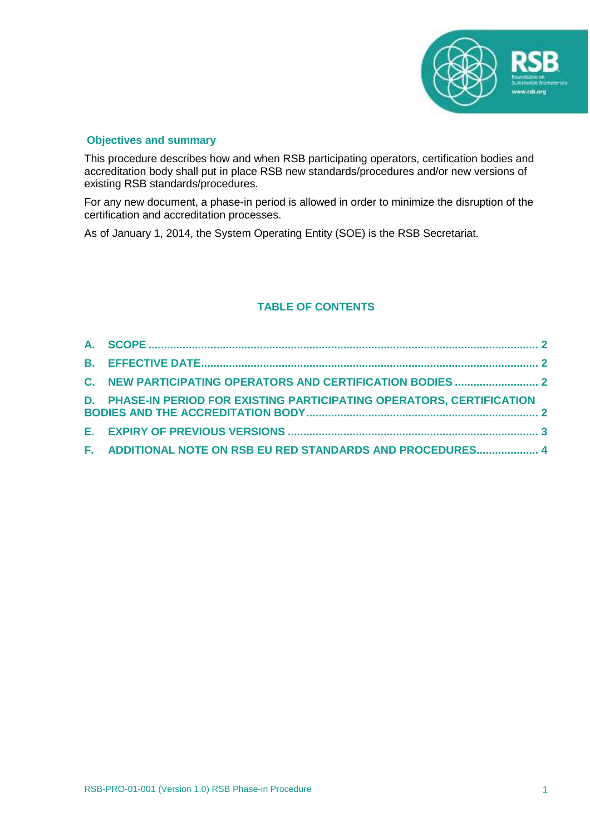

### **Objectives and summary**

This procedure describes how and when RSB participating operators, certification bodies and accreditation body shall put in place RSB new standards/procedures and/or new versions of existing RSB standards/procedures.

For any new document, a phase-in period is allowed in order to minimize the disruption of the certification and accreditation processes.

As of January 1, 2014, the System Operating Entity (SOE) is the RSB Secretariat.

### **TABLE OF CONTENTS**

| D. PHASE-IN PERIOD FOR EXISTING PARTICIPATING OPERATORS, CERTIFICATION |  |
|------------------------------------------------------------------------|--|
|                                                                        |  |
| F. ADDITIONAL NOTE ON RSB EU RED STANDARDS AND PROCEDURES 4            |  |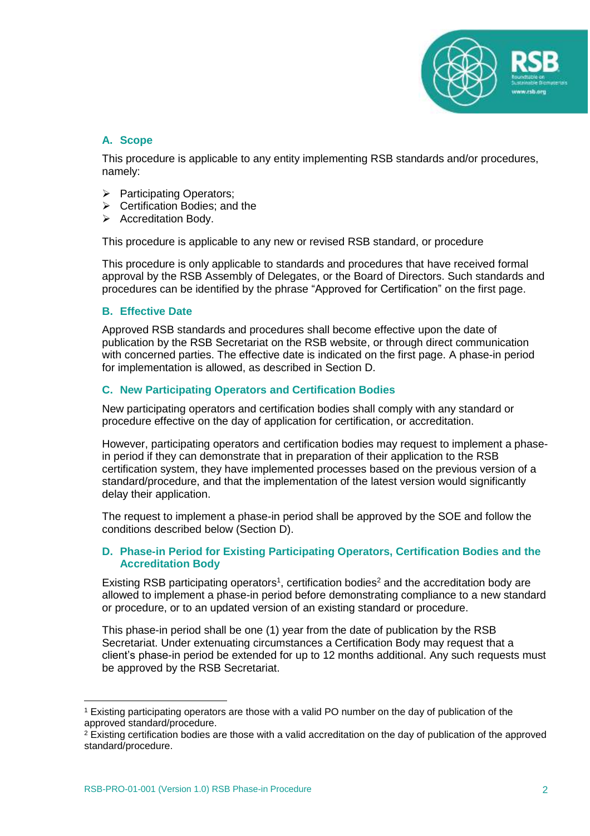

### <span id="page-2-0"></span>**A. Scope**

This procedure is applicable to any entity implementing RSB standards and/or procedures, namely:

- ➢ Participating Operators;
- ➢ Certification Bodies; and the
- ➢ Accreditation Body.

This procedure is applicable to any new or revised RSB standard, or procedure

This procedure is only applicable to standards and procedures that have received formal approval by the RSB Assembly of Delegates, or the Board of Directors. Such standards and procedures can be identified by the phrase "Approved for Certification" on the first page.

### <span id="page-2-1"></span>**B. Effective Date**

Approved RSB standards and procedures shall become effective upon the date of publication by the RSB Secretariat on the RSB website, or through direct communication with concerned parties. The effective date is indicated on the first page. A phase-in period for implementation is allowed, as described in Section D.

### <span id="page-2-2"></span>**C. New Participating Operators and Certification Bodies**

New participating operators and certification bodies shall comply with any standard or procedure effective on the day of application for certification, or accreditation.

However, participating operators and certification bodies may request to implement a phasein period if they can demonstrate that in preparation of their application to the RSB certification system, they have implemented processes based on the previous version of a standard/procedure, and that the implementation of the latest version would significantly delay their application.

The request to implement a phase-in period shall be approved by the SOE and follow the conditions described below (Section D).

### <span id="page-2-3"></span>**D. Phase-in Period for Existing Participating Operators, Certification Bodies and the Accreditation Body**

Existing RSB participating operators<sup>1</sup>, certification bodies<sup>2</sup> and the accreditation body are allowed to implement a phase-in period before demonstrating compliance to a new standard or procedure, or to an updated version of an existing standard or procedure.

This phase-in period shall be one (1) year from the date of publication by the RSB Secretariat. Under extenuating circumstances a Certification Body may request that a client's phase-in period be extended for up to 12 months additional. Any such requests must be approved by the RSB Secretariat.

 $\overline{a}$ 

<sup>1</sup> Existing participating operators are those with a valid PO number on the day of publication of the approved standard/procedure.

<sup>&</sup>lt;sup>2</sup> Existing certification bodies are those with a valid accreditation on the day of publication of the approved standard/procedure.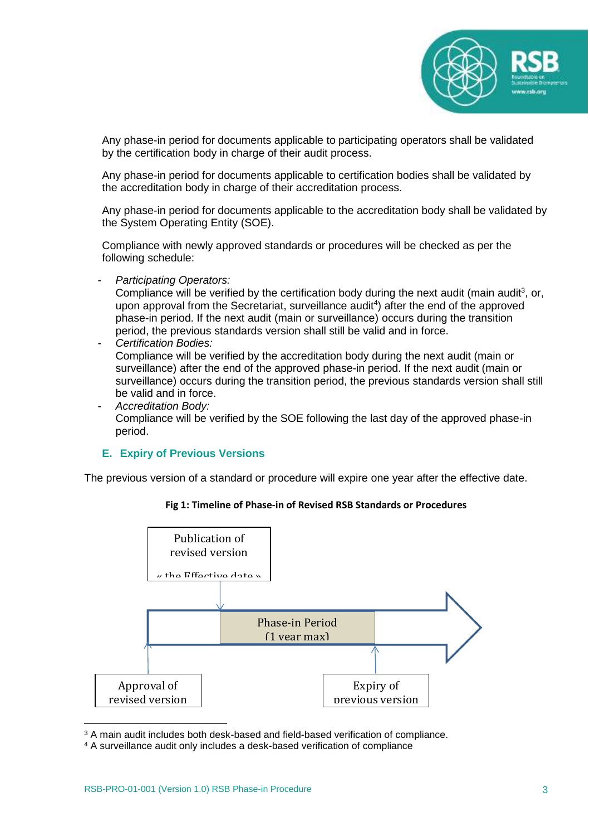

Any phase-in period for documents applicable to participating operators shall be validated by the certification body in charge of their audit process.

Any phase-in period for documents applicable to certification bodies shall be validated by the accreditation body in charge of their accreditation process.

Any phase-in period for documents applicable to the accreditation body shall be validated by the System Operating Entity (SOE).

Compliance with newly approved standards or procedures will be checked as per the following schedule:

- *Participating Operators:*

Compliance will be verified by the certification body during the next audit (main audit<sup>3</sup>, or, upon approval from the Secretariat, surveillance audit<sup>4</sup>) after the end of the approved phase-in period. If the next audit (main or surveillance) occurs during the transition period, the previous standards version shall still be valid and in force.

- *Certification Bodies:* Compliance will be verified by the accreditation body during the next audit (main or surveillance) after the end of the approved phase-in period. If the next audit (main or surveillance) occurs during the transition period, the previous standards version shall still be valid and in force.
- *Accreditation Body:* Compliance will be verified by the SOE following the last day of the approved phase-in period.

### <span id="page-3-0"></span>**E. Expiry of Previous Versions**

The previous version of a standard or procedure will expire one year after the effective date.

#### **Fig 1: Timeline of Phase-in of Revised RSB Standards or Procedures**



<sup>3</sup> A main audit includes both desk-based and field-based verification of compliance.

<sup>4</sup> A surveillance audit only includes a desk-based verification of compliance